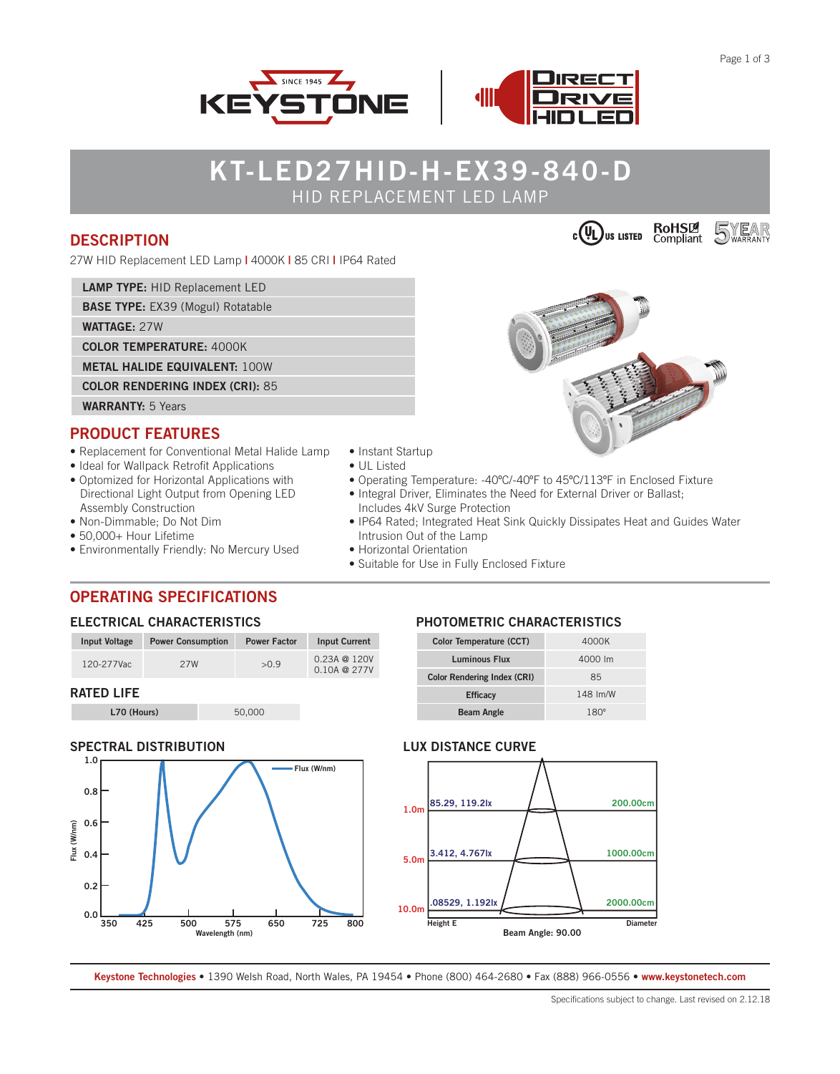**5**WEAR





# **KT-LED27HID-H-EX39-840-D** HID REPLACEMENT LED LAMP

## **DESCRIPTION**

27W HID Replacement LED Lamp **|** 4000K **|** 85 CRI **|** IP64 Rated

**LAMP TYPE:** HID Replacement LED

**BASE TYPE:** EX39 (Mogul) Rotatable

**WATTAGE:** 27W

**COLOR TEMPERATURE:** 4000K

**METAL HALIDE EQUIVALENT:** 100W

**COLOR RENDERING INDEX (CRI):** 85

**WARRANTY:** 5 Years

## **PRODUCT FEATURES**

- Replacement for Conventional Metal Halide Lamp
- Ideal for Wallpack Retrofit Applications
- Optomized for Horizontal Applications with Directional Light Output from Opening LED Assembly Construction
- Non-Dimmable; Do Not Dim
- 50,000+ Hour Lifetime
- Environmentally Friendly: No Mercury Used
- 
- Suitable for Use in Fully Enclosed Fixture

## **OPERATING SPECIFICATIONS**

#### **ELECTRICAL CHARACTERISTICS**

| Input Voltage     | <b>Power Consumption</b> | <b>Power Factor</b> | <b>Input Current</b>                   |
|-------------------|--------------------------|---------------------|----------------------------------------|
| 120-277Vac        | 27W                      | >0.9                | $0.23A \t@ 120V$<br>$0.10A \tQ \t277V$ |
| <b>RATED LIFE</b> |                          |                     |                                        |

**L70 (Hours)** 50,000

#### **SPECTRAL DISTRIBUTION**



#### **PHOTOMETRIC CHARACTERISTICS**

| Color Temperature (CCT)            | 4000K       |  |  |  |
|------------------------------------|-------------|--|--|--|
| <b>Luminous Flux</b>               | 4000 lm     |  |  |  |
| <b>Color Rendering Index (CRI)</b> | 85          |  |  |  |
| <b>Efficacy</b>                    | 148 Im/W    |  |  |  |
| <b>Beam Angle</b>                  | $180^\circ$ |  |  |  |

#### **LUX DISTANCE CURVE**



**Keystone Technologies •** 1390 Welsh Road, North Wales, PA 19454 **•** Phone (800) 464-2680 **•** Fax (888) 966-0556 • **www.keystonetech.com**



 $c$   $(\mathsf{U})$ us listed

**RoHSLA**<br>Compliant

- Instant Startup
- UL Listed
- Operating Temperature: -40ºC/-40ºF to 45ºC/113ºF in Enclosed Fixture
- Integral Driver, Eliminates the Need for External Driver or Ballast; Includes 4kV Surge Protection
- IP64 Rated; Integrated Heat Sink Quickly Dissipates Heat and Guides Water Intrusion Out of the Lamp
- Horizontal Orientation
-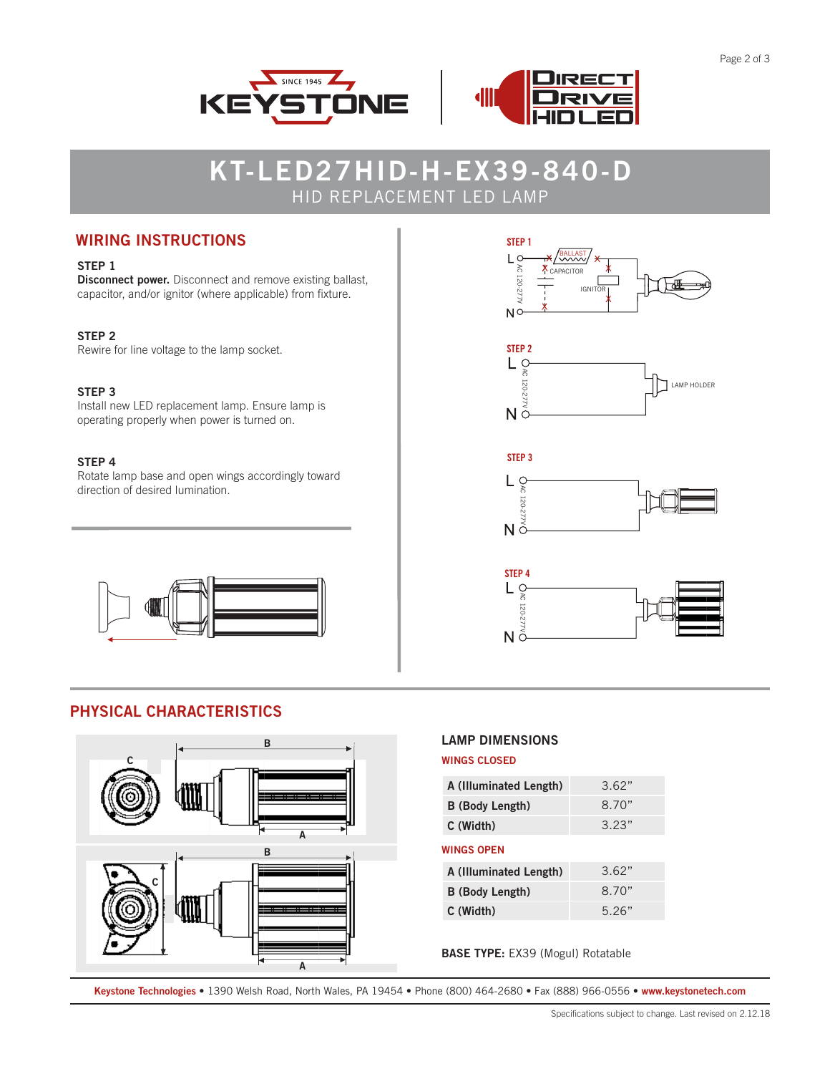

# **KT-LED27HID-H-EX39-840-D** HID REPLACEMENT LED LAMP

# **WIRING INSTRUCTIONS**

#### **STEP 1**

**Disconnect power.** Disconnect and remove existing ballast, capacitor, and/or ignitor (where applicable) from fixture.

#### **STEP 2**

Rewire for line voltage to the lamp socket.

#### **STEP 3**

Install new LED replacement lamp. Ensure lamp is operating properly when power is turned on.

#### **STEP 4**

Rotate lamp base and open wings accordingly toward direction of desired lumination.



# **PHYSICAL CHARACTERISTICS**











#### **LAMP DIMENSIONS**

#### **WINGS CLOSED**

| A (Illuminated Length) | 3.62" |  |  |  |
|------------------------|-------|--|--|--|
| <b>B</b> (Body Length) | 8.70" |  |  |  |
| C (Width)              | 3.23" |  |  |  |
| WINGS OPEN             |       |  |  |  |
| A (Illuminated Length) | 3.62" |  |  |  |
| <b>B</b> (Body Length) | 8.70" |  |  |  |

**BASE TYPE:** EX39 (Mogul) Rotatable

**C (Width)** 5.26"

**Keystone Technologies •** 1390 Welsh Road, North Wales, PA 19454 **•** Phone (800) 464-2680 **•** Fax (888) 966-0556 • **www.keystonetech.com**